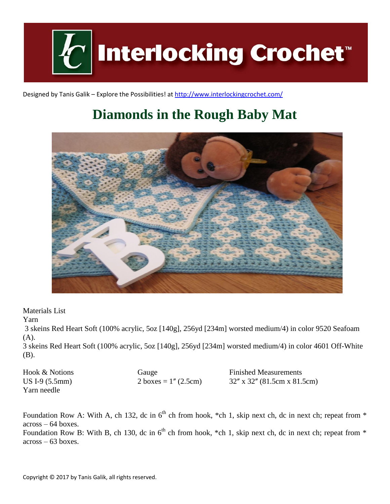

Designed by Tanis Galik – Explore the Possibilities! a[t http://www.interlockingcrochet.com/](http://www.interlockingcrochet.com/)

# **Diamonds in the Rough Baby Mat**



Materials List

Yarn

3 skeins Red Heart Soft (100% acrylic, 5oz [140g], 256yd [234m] worsted medium/4) in color 9520 Seafoam (A).

3 skeins Red Heart Soft (100% acrylic, 5oz [140g], 256yd [234m] worsted medium/4) in color 4601 Off-White (B).

| Hook & Notions  | Gauge                   | <b>Finished Measurements</b>   |
|-----------------|-------------------------|--------------------------------|
| $US I-9(5.5mm)$ | 2 boxes = $1''$ (2.5cm) | $32''$ x 32" (81.5cm x 81.5cm) |
| Yarn needle     |                         |                                |

Foundation Row A: With A, ch 132, dc in  $6<sup>th</sup>$  ch from hook, \*ch 1, skip next ch, dc in next ch; repeat from \* across – 64 boxes.

Foundation Row B: With B, ch 130, dc in  $6<sup>th</sup>$  ch from hook, \*ch 1, skip next ch, dc in next ch; repeat from \* across – 63 boxes.